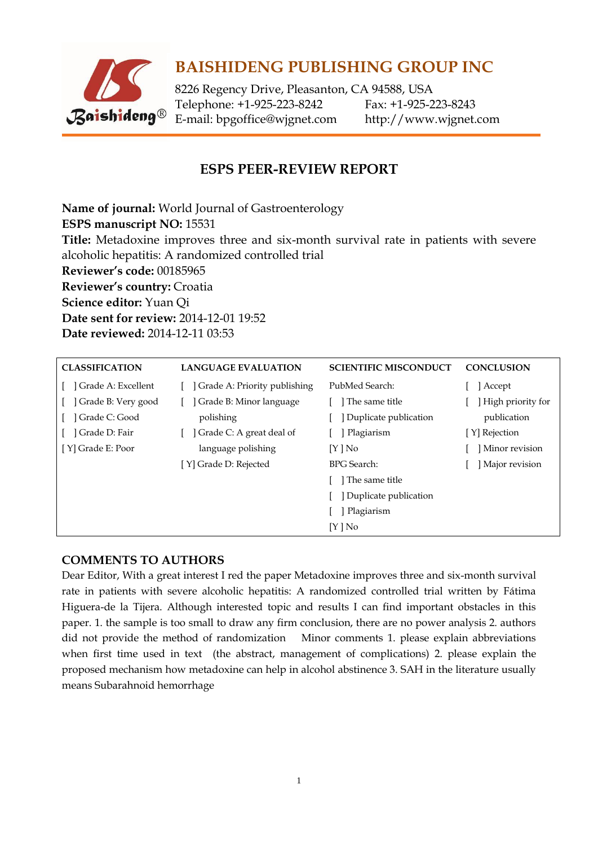

# **BAISHIDENG PUBLISHING GROUP INC**

8226 Regency Drive, Pleasanton, CA 94588, USA Telephone: +1-925-223-8242 Fax: +1-925-223-8243 E-mail: [bpgoffice@wjgnet.com](mailto:bpgoffice@wjgnet.com) http://www.wjgnet.com

## **ESPS PEER-REVIEW REPORT**

**Name of journal:** World Journal of Gastroenterology **ESPS manuscript NO:** 15531 **Title:** Metadoxine improves three and six-month survival rate in patients with severe alcoholic hepatitis: A randomized controlled trial **Reviewer's code:** 00185965 **Reviewer's country:** Croatia **Science editor:** Yuan Qi **Date sent for review:** 2014-12-01 19:52 **Date reviewed:** 2014-12-11 03:53

| <b>CLASSIFICATION</b> | <b>LANGUAGE EVALUATION</b>   | <b>SCIENTIFIC MISCONDUCT</b> | <b>CONCLUSION</b> |
|-----------------------|------------------------------|------------------------------|-------------------|
| ] Grade A: Excellent  | Grade A: Priority publishing | PubMed Search:               | Accept            |
| Grade B: Very good    | Grade B: Minor language      | The same title               | High priority for |
| ] Grade C: Good       | polishing                    | Duplicate publication        | publication       |
| Grade D: Fair         | Grade C: A great deal of     | Plagiarism                   | [ Y] Rejection    |
| [ Y] Grade E: Poor    | language polishing           | $[Y]$ No                     | Minor revision    |
|                       | [Y] Grade D: Rejected        | <b>BPG</b> Search:           | Major revision    |
|                       |                              | The same title               |                   |
|                       |                              | Duplicate publication        |                   |
|                       |                              | Plagiarism                   |                   |
|                       |                              | [Y ] No                      |                   |

### **COMMENTS TO AUTHORS**

Dear Editor, With a great interest I red the paper Metadoxine improves three and six-month survival rate in patients with severe alcoholic hepatitis: A randomized controlled trial written by Fátima Higuera-de la Tijera. Although interested topic and results I can find important obstacles in this paper. 1. the sample is too small to draw any firm conclusion, there are no power analysis 2. authors did not provide the method of randomization Minor comments 1. please explain abbreviations when first time used in text (the abstract, management of complications) 2. please explain the proposed mechanism how metadoxine can help in alcohol abstinence 3. SAH in the literature usually means Subarahnoid hemorrhage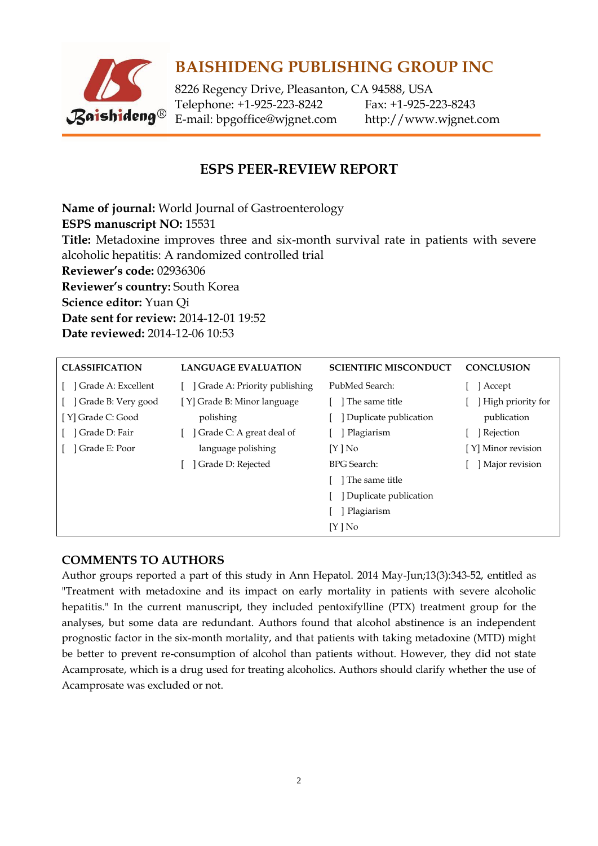

# **BAISHIDENG PUBLISHING GROUP INC**

8226 Regency Drive, Pleasanton, CA 94588, USA Telephone: +1-925-223-8242 Fax: +1-925-223-8243 E-mail: [bpgoffice@wjgnet.com](mailto:bpgoffice@wjgnet.com) http://www.wjgnet.com

## **ESPS PEER-REVIEW REPORT**

**Name of journal:** World Journal of Gastroenterology **ESPS manuscript NO:** 15531 **Title:** Metadoxine improves three and six-month survival rate in patients with severe alcoholic hepatitis: A randomized controlled trial **Reviewer's code:** 02936306 **Reviewer's country:** South Korea **Science editor:** Yuan Qi **Date sent for review:** 2014-12-01 19:52 **Date reviewed:** 2014-12-06 10:53

| <b>CLASSIFICATION</b> | <b>LANGUAGE EVALUATION</b>   | <b>SCIENTIFIC MISCONDUCT</b> | <b>CONCLUSION</b>  |
|-----------------------|------------------------------|------------------------------|--------------------|
| Grade A: Excellent    | Grade A: Priority publishing | PubMed Search:               | Accept             |
| ] Grade B: Very good  | [Y] Grade B: Minor language  | The same title               | High priority for  |
| [Y] Grade C: Good     | polishing                    | Duplicate publication        | publication        |
| ] Grade D: Fair       | Grade C: A great deal of     | Plagiarism                   | Rejection          |
| ] Grade E: Poor       | language polishing           | $[Y]$ No                     | [Y] Minor revision |
|                       | Grade D: Rejected            | <b>BPG</b> Search:           | Major revision     |
|                       |                              | The same title               |                    |
|                       |                              | Duplicate publication        |                    |
|                       |                              | Plagiarism                   |                    |
|                       |                              | [Y ] No                      |                    |

#### **COMMENTS TO AUTHORS**

Author groups reported a part of this study in Ann Hepatol. 2014 May-Jun;13(3):343-52, entitled as "Treatment with metadoxine and its impact on early mortality in patients with severe alcoholic hepatitis." In the current manuscript, they included pentoxifylline (PTX) treatment group for the analyses, but some data are redundant. Authors found that alcohol abstinence is an independent prognostic factor in the six-month mortality, and that patients with taking metadoxine (MTD) might be better to prevent re-consumption of alcohol than patients without. However, they did not state Acamprosate, which is a drug used for treating alcoholics. Authors should clarify whether the use of Acamprosate was excluded or not.